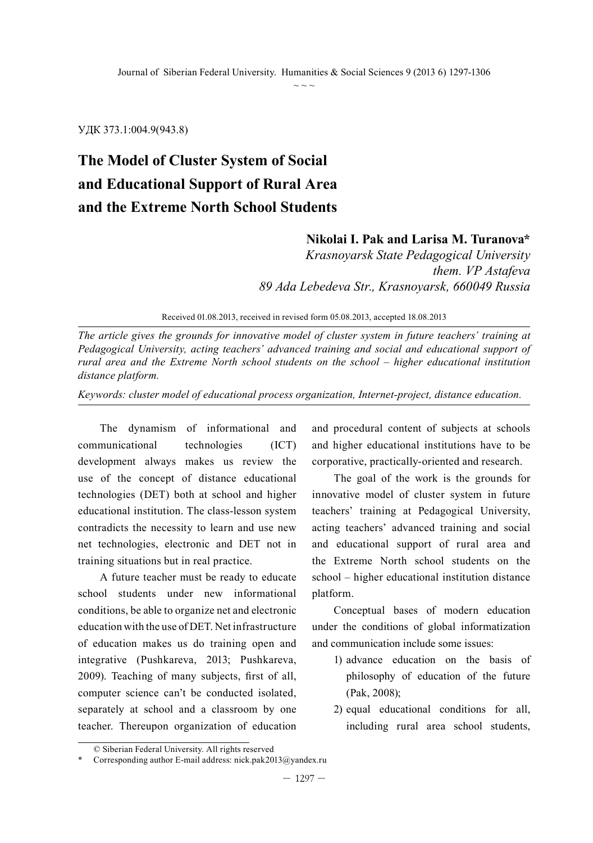УДК 373.1:004.9(943.8)

# **The Model of Cluster System of Social and Educational Support of Rural Area and the Extreme North School Students**

#### **Nikolai I. Pak and Larisa M. Turanova\***

*Krasnoyarsk State Pedagogical University them. VP Astafeva 89 Ada Lebedeva Str., Krasnoyarsk, 660049 Russia*

Received 01.08.2013, received in revised form 05.08.2013, accepted 18.08.2013

*The article gives the grounds for innovative model of cluster system in future teachers' training at Pedagogical University, acting teachers' advanced training and social and educational support of rural area and the Extreme North school students on the school – higher educational institution distance platform.*

*Keywords: cluster model of educational process organization, Internet-project, distance education.*

The dynamism of informational and communicational technologies (ICT) development always makes us review the use of the concept of distance educational technologies (DET) both at school and higher educational institution. The class-lesson system contradicts the necessity to learn and use new net technologies, electronic and DET not in training situations but in real practice.

A future teacher must be ready to educate school students under new informational conditions, be able to organize net and electronic education with the use of DET. Net infrastructure of education makes us do training open and integrative (Pushkareva, 2013; Pushkareva, 2009). Teaching of many subjects, first of all, computer science can't be conducted isolated, separately at school and a classroom by one teacher. Thereupon organization of education

and procedural content of subjects at schools and higher educational institutions have to be corporative, practically-oriented and research.

The goal of the work is the grounds for innovative model of cluster system in future teachers' training at Pedagogical University, acting teachers' advanced training and social and educational support of rural area and the Extreme North school students on the school – higher educational institution distance platform.

Conceptual bases of modern education under the conditions of global informatization and communication include some issues:

- 1) advance education on the basis of philosophy of education of the future (Pak, 2008);
- 2) equal educational conditions for all, including rural area school students,

<sup>©</sup> Siberian Federal University. All rights reserved

Corresponding author E-mail address: nick.pak2013@yandex.ru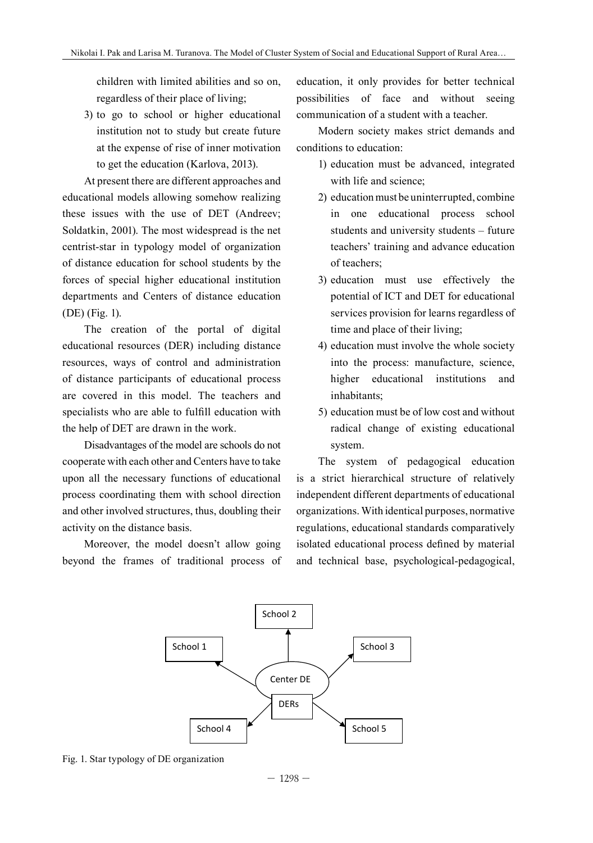children with limited abilities and so on, regardless of their place of living;

3) to go to school or higher educational institution not to study but create future at the expense of rise of inner motivation to get the education (Karlova, 2013).

At present there are different approaches and educational models allowing somehow realizing these issues with the use of DET (Andreev; Soldatkin, 2001). The most widespread is the net centrist-star in typology model of organization of distance education for school students by the forces of special higher educational institution departments and Centers of distance education (DE) (Fig. 1).

The creation of the portal of digital educational resources (DER) including distance resources, ways of control and administration of distance participants of educational process are covered in this model. The teachers and specialists who are able to fulfill education with the help of DET are drawn in the work.

Disadvantages of the model are schools do not cooperate with each other and Centers have to take upon all the necessary functions of educational process coordinating them with school direction independent diff and other involved structures, thus, doubling their activity on the distance basis.

Moreover, the model doesn't allow going isolated educational process defined by m beyond the frames of traditional process of and technical base, psychological-

education, it only provides for better technical possibilities of face and without seeing communication of a student with a teacher.

Modern society makes strict demands and conditions to education:

- 1) education must be advanced, integrated with life and science;
- 2) education must be uninterrupted, combine in one educational process school students and university students – future teachers' training and advance education of teachers;
- 3) education must use effectively the potential of ICT and DET for educational services provision for learns regardless of time and place of their living;
- 4) education must involve the whole society into the process: manufacture, science, higher educational institutions and inhabitants;
- 5) education must be of low cost and without radical change of existing educational system.

The system of pedagogical education Il the necessary functions of educational is a strict hierarchical structure of relatively independent different departments of educational ner involved structures, thus, doubling their organizations. With identical purposes, normative activity on the distance basis. The most with the use of DET equations, educational standards comparatively isolated educational process defined by material and technical base, psychological-pedagogical,



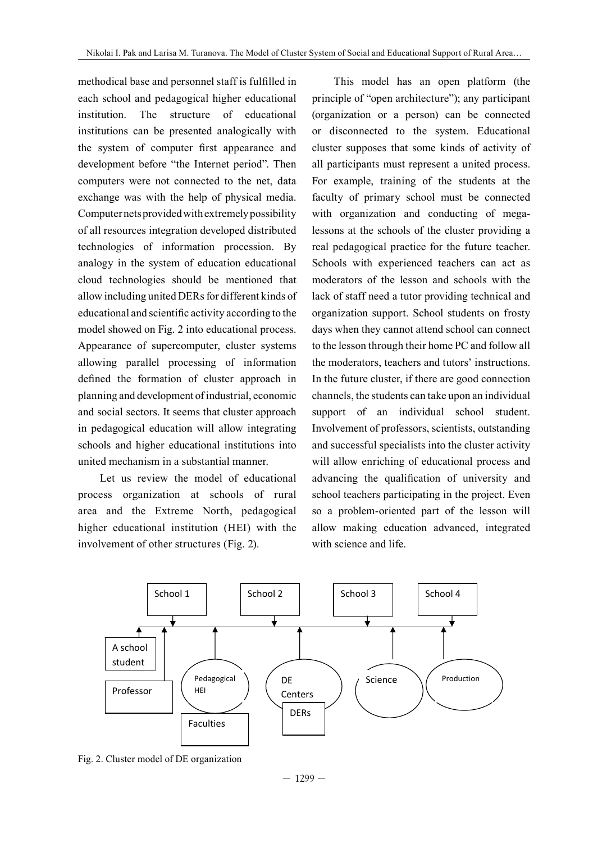methodical base and personnel staff is fulfilled in each school and pedagogical higher educational institution. The structure of educational institutions can be presented analogically with or the system of computer first appearance and cluster supposes that some kinds of activ development before "the Internet period". Then computers were not connected to the net, data exchange was with the help of physical media. faculty of primary school must be conn Computer nets provided with extremely possibility with organization and conducting of r of all resources integration developed distributed lessons at the schools of the cluster provid technologies of information procession. By real pedagogical practice for the future tea analogy in the system of education educational Schools with experienced teachers can a cloud technologies should be mentioned that allow including united DERs for different kinds of educational and scientific activity according to the organization support. School students on 1 model showed on Fig. 2 into educational process. days when they cannot attend school can co Appearance of supercomputer, cluster systems to the lesson through their home PC and follo allowing parallel processing of information the moderators, teachers and tutors' instruc defined the formation of cluster approach in In the future cluster, if there are good conne planning and development of industrial, economic and social sectors. It seems that cluster approach support of an individual school stu in pedagogical education will allow integrating Involvement of professors, scientists, outsta schools and higher educational institutions into and successful specialists into the cluster ac united mechanism in a substantial manner. educational institutions can be presented and be presented and computer first the system of computer first first first first first first first first first first first first first first first first first first first first f

Let us review the model of educational advancing the qualification process organization at schools of rural area and the Extreme North, pedagogical higher educational institution (HEI) with the allow making education advanced, integ involvement of other structures (Fig. 2). Let us represent the model of the model of the model of rural area and the model of rules of  $\alpha$ .

This model has an open platform (the principle of "open architecture"); any participant tution. The structure of educational (organization or a person) can be connected or disconnected to the system. Educational cluster supposes that some kinds of activity of all participants must represent a united process. For example, training of the students at the faculty of primary school must be connected with organization and conducting of megalessons at the schools of the cluster providing a real pedagogical practice for the future teacher. Schools with experienced teachers can act as moderators of the lesson and schools with the lack of staff need a tutor providing technical and organization support. School students on frosty days when they cannot attend school can connect to the lesson through their home PC and follow all the moderators, teachers and tutors' instructions. In the future cluster, if there are good connection channels, the students can take upon an individual support of an individual school student. Involvement of professors, scientists, outstanding and successful specialists into the cluster activity united mechanism in a substantial manner. Will allow enriching of educational process and advancing the qualification of university and school teachers participating in the project. Even so a problem-oriented part of the lesson will allow making education advanced, integrated with science and life.



Fig. 2. Cluster model of DE organization

 $-1299-$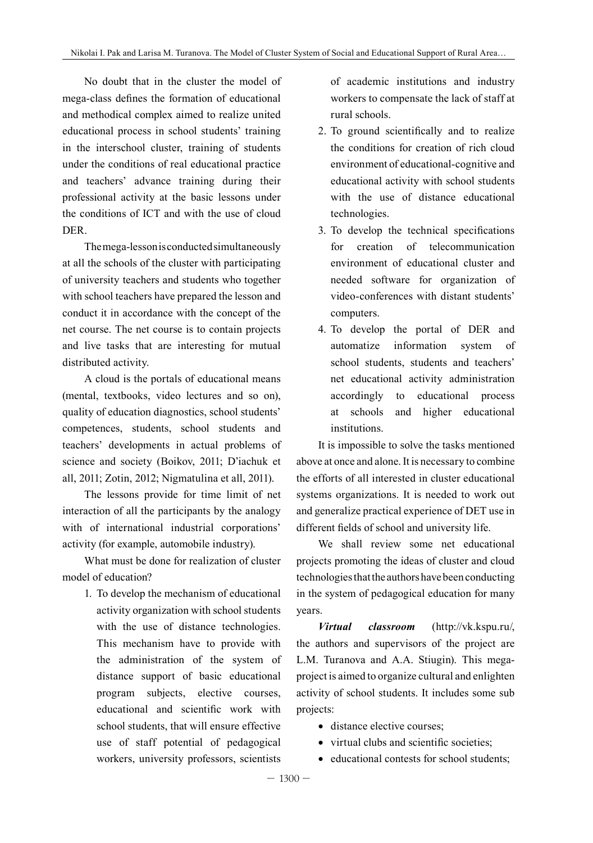No doubt that in the cluster the model of mega-class defines the formation of educational and methodical complex aimed to realize united educational process in school students' training in the interschool cluster, training of students under the conditions of real educational practice and teachers' advance training during their professional activity at the basic lessons under the conditions of ICT and with the use of cloud DER.

The mega-lesson is conducted simultaneously at all the schools of the cluster with participating of university teachers and students who together with school teachers have prepared the lesson and conduct it in accordance with the concept of the net course. The net course is to contain projects and live tasks that are interesting for mutual distributed activity.

A cloud is the portals of educational means (mental, textbooks, video lectures and so on), quality of education diagnostics, school students' competences, students, school students and teachers' developments in actual problems of science and society (Boikov, 2011; D'iachuk et all, 2011; Zotin, 2012; Nigmatulina et all, 2011).

The lessons provide for time limit of net interaction of all the participants by the analogy with of international industrial corporations' activity (for example, automobile industry).

What must be done for realization of cluster model of education?

> 1. To develop the mechanism of educational activity organization with school students with the use of distance technologies. This mechanism have to provide with the administration of the system of distance support of basic educational program subjects, elective courses, educational and scientific work with school students, that will ensure effective use of staff potential of pedagogical workers, university professors, scientists

of academic institutions and industry workers to compensate the lack of staff at rural schools.

- 2. To ground scientifically and to realize the conditions for creation of rich cloud environment of educational-cognitive and educational activity with school students with the use of distance educational technologies.
- 3. To develop the technical specifications for creation of telecommunication environment of educational cluster and needed software for organization of video-conferences with distant students' computers.
- 4. To develop the portal of DER and automatize information system of school students, students and teachers' net educational activity administration accordingly to educational process at schools and higher educational institutions.

It is impossible to solve the tasks mentioned above at once and alone. It is necessary to combine the efforts of all interested in cluster educational systems organizations. It is needed to work out and generalize practical experience of DET use in different fields of school and university life.

We shall review some net educational projects promoting the ideas of cluster and cloud technologies that the authors have been conducting in the system of pedagogical education for many years.

*Virtual classroom* (http://vk.kspu.ru/, the authors and supervisors of the project are L.M. Turanova and A.A. Stiugin). This megaproject is aimed to organize cultural and enlighten activity of school students. It includes some sub projects:

- distance elective courses;
- virtual clubs and scientific societies;
- educational contests for school students;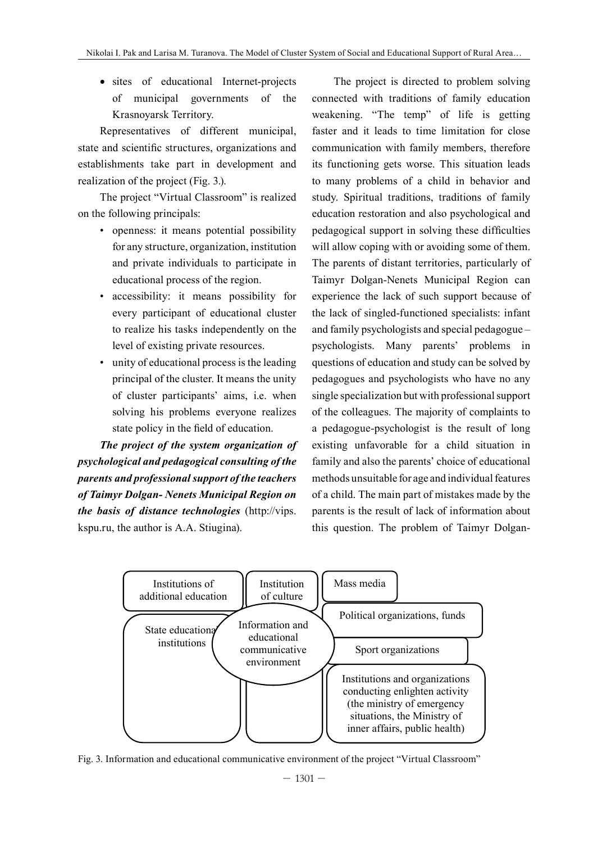• sites of educational Internet-projects of municipal governments of the Krasnoyarsk Territory.

Representatives of different municipal, state and scientific structures, organizations and establishments take part in development and realization of the project (Fig. 3.).

The project "Virtual Classroom" is realized on the following principals:

- openness: it means potential possibility for any structure, organization, institution and private individuals to participate in educational process of the region.
- accessibility: it means possibility for every participant of educational cluster to realize his tasks independently on the level of existing private resources.
- unity of educational process is the leading principal of the cluster. It means the unity of cluster participants' aims, i.e. when solving his problems everyone realizes state policy in the field of education.

*The project of the system organization of psychological and pedagogical consulting of the parents and professional support of the teachers of Taimyr Dolgan- Nenets Municipal Region on the basis of distance technologies* (http://vips. kspu.ru, the author is A.A. Stiugina).

The project is directed to problem solving connected with traditions of family education weakening. "The temp" of life is getting faster and it leads to time limitation for close communication with family members, therefore its functioning gets worse. This situation leads to many problems of a child in behavior and study. Spiritual traditions, traditions of family education restoration and also psychological and pedagogical support in solving these difficulties will allow coping with or avoiding some of them. The parents of distant territories, particularly of Taimyr Dolgan-Nenets Municipal Region can experience the lack of such support because of the lack of singled-functioned specialists: infant and family psychologists and special pedagogue – psychologists. Many parents' problems in questions of education and study can be solved by pedagogues and psychologists who have no any single specialization but with professional support of the colleagues. The majority of complaints to a pedagogue-psychologist is the result of long existing unfavorable for a child situation in family and also the parents' choice of educational methods unsuitable for age and individual features of a child. The main part of mistakes made by the parents is the result of lack of information about this question. The problem of Taimyr Dolgan-



Fig. 3. Information and educational communicative environment of the project "Virtual Classroom"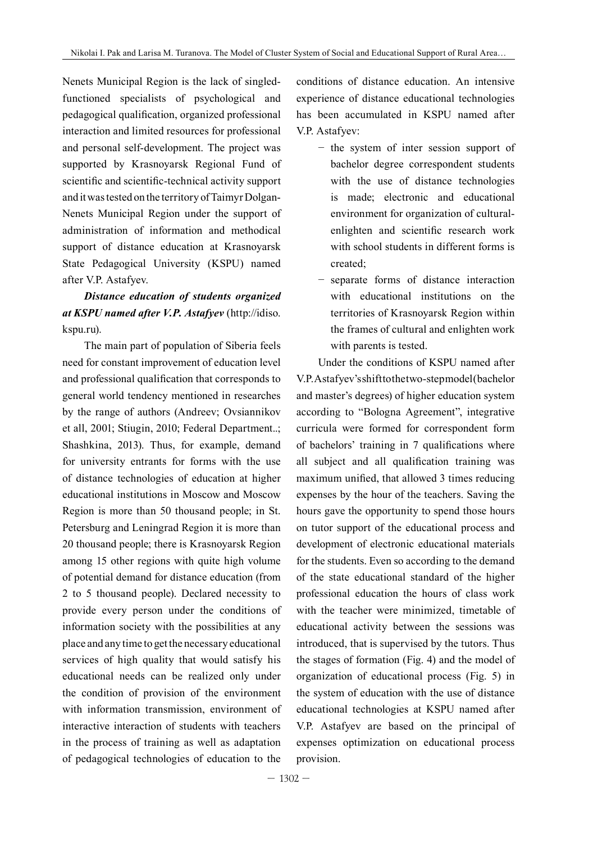Nenets Municipal Region is the lack of singledfunctioned specialists of psychological and pedagogical qualification, organized professional interaction and limited resources for professional and personal self-development. The project was supported by Krasnoyarsk Regional Fund of scientific and scientific-technical activity support and it was tested on the territory of Taimyr Dolgan-Nenets Municipal Region under the support of administration of information and methodical support of distance education at Krasnoyarsk State Pedagogical University (KSPU) named after V.P. Astafyev.

# *Distance education of students organized at KSPU named after V.P. Astafyev* (http://idiso. kspu.ru).

The main part of population of Siberia feels need for constant improvement of education level and professional qualification that corresponds to general world tendency mentioned in researches by the range of authors (Andreev; Ovsiannikov et all, 2001; Stiugin, 2010; Federal Department..; Shashkina, 2013). Thus, for example, demand for university entrants for forms with the use of distance technologies of education at higher educational institutions in Moscow and Moscow Region is more than 50 thousand people; in St. Petersburg and Leningrad Region it is more than 20 thousand people; there is Krasnoyarsk Region among 15 other regions with quite high volume of potential demand for distance education (from 2 to 5 thousand people). Declared necessity to provide every person under the conditions of information society with the possibilities at any place and any time to get the necessary educational services of high quality that would satisfy his educational needs can be realized only under the condition of provision of the environment with information transmission, environment of interactive interaction of students with teachers in the process of training as well as adaptation of pedagogical technologies of education to the

conditions of distance education. An intensive experience of distance educational technologies has been accumulated in KSPU named after V.P. Astafyev:

- − the system of inter session support of bachelor degree correspondent students with the use of distance technologies is made; electronic and educational environment for organization of culturalenlighten and scientific research work with school students in different forms is created;
- − separate forms of distance interaction with educational institutions on the territories of Krasnoyarsk Region within the frames of cultural and enlighten work with parents is tested.

Under the conditions of KSPU named after V.P. Astafyev's shift to the two-step model (bachelor and master's degrees) of higher education system according to "Bologna Agreement", integrative curricula were formed for correspondent form of bachelors' training in 7 qualifications where all subject and all qualification training was maximum unified, that allowed 3 times reducing expenses by the hour of the teachers. Saving the hours gave the opportunity to spend those hours on tutor support of the educational process and development of electronic educational materials for the students. Even so according to the demand of the state educational standard of the higher professional education the hours of class work with the teacher were minimized, timetable of educational activity between the sessions was introduced, that is supervised by the tutors. Thus the stages of formation (Fig. 4) and the model of organization of educational process (Fig. 5) in the system of education with the use of distance educational technologies at KSPU named after V.P. Astafyev are based on the principal of expenses optimization on educational process provision.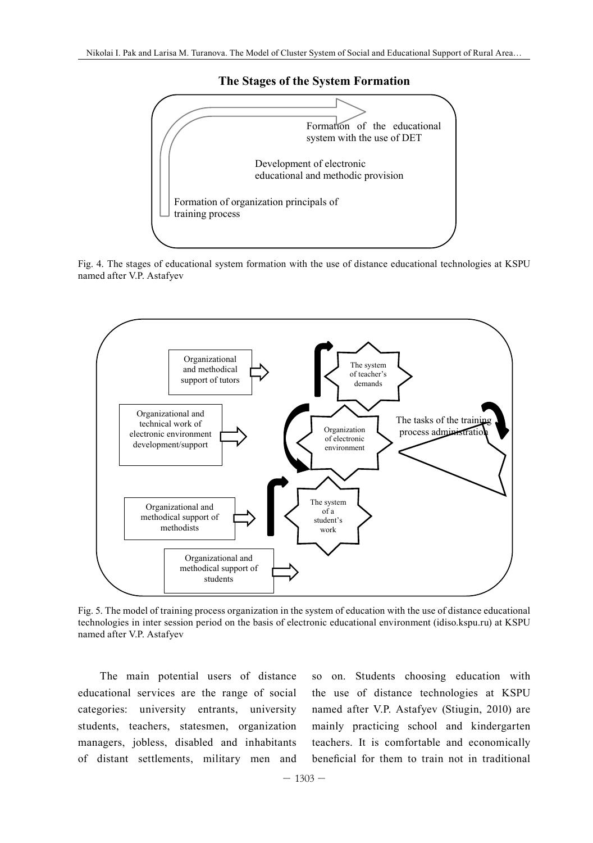#### **The Stages of the System Formation**



Fig. 4. The stages of educational system formation with the use of distance educational technologies at KSPU named after V.P. Astafyev



Fig. 5. The model of training process organization in the system of education with the use of distance educational technologies in inter session period on the basis of electronic educational environment (idiso.kspu.ru) at KSPU named after V.P. Astafyev and model of the model of the system of the system of the system of the use of the use

The main potential users of distance so on. Students choosin educational services are the range of social categories: university entrants, university named after V.P. Astafyev (Stiugin, 2010) a students, teachers, statesmen, organization mainly practicing school and kindergart managers, jobless, disabled and inhabitants of distant settlements, military men and beneficial for them to train not in tradition

so on. Students choosing education with the use of distance technologies at KSPU named after V.P. Astafyev (Stiugin, 2010) are mainly practicing school and kindergarten teachers. It is comfortable and economically beneficial for them to train not in traditional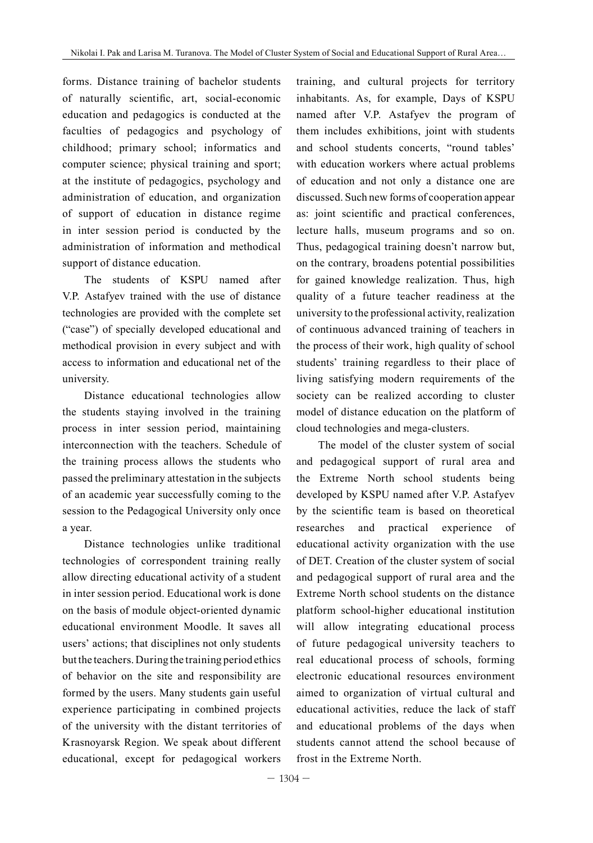forms. Distance training of bachelor students of naturally scientific, art, social-economic education and pedagogics is conducted at the faculties of pedagogics and psychology of childhood; primary school; informatics and computer science; physical training and sport; at the institute of pedagogics, psychology and administration of education, and organization of support of education in distance regime in inter session period is conducted by the administration of information and methodical support of distance education.

The students of KSPU named after V.P. Astafyev trained with the use of distance technologies are provided with the complete set ("case") of specially developed educational and methodical provision in every subject and with access to information and educational net of the university.

Distance educational technologies allow the students staying involved in the training process in inter session period, maintaining interconnection with the teachers. Schedule of the training process allows the students who passed the preliminary attestation in the subjects of an academic year successfully coming to the session to the Pedagogical University only once a year.

Distance technologies unlike traditional technologies of correspondent training really allow directing educational activity of a student in inter session period. Educational work is done on the basis of module object-oriented dynamic educational environment Moodle. It saves all users' actions; that disciplines not only students but the teachers. During the training period ethics of behavior on the site and responsibility are formed by the users. Many students gain useful experience participating in combined projects of the university with the distant territories of Krasnoyarsk Region. We speak about different educational, except for pedagogical workers

training, and cultural projects for territory inhabitants. As, for example, Days of KSPU named after V.P. Astafyev the program of them includes exhibitions, joint with students and school students concerts, "round tables' with education workers where actual problems of education and not only a distance one are discussed. Such new forms of cooperation appear as: joint scientific and practical conferences, lecture halls, museum programs and so on. Thus, pedagogical training doesn't narrow but, on the contrary, broadens potential possibilities for gained knowledge realization. Thus, high quality of a future teacher readiness at the university to the professional activity, realization of continuous advanced training of teachers in the process of their work, high quality of school students' training regardless to their place of living satisfying modern requirements of the society can be realized according to cluster model of distance education on the platform of cloud technologies and mega-clusters.

The model of the cluster system of social and pedagogical support of rural area and the Extreme North school students being developed by KSPU named after V.P. Astafyev by the scientific team is based on theoretical researches and practical experience of educational activity organization with the use of DET. Creation of the cluster system of social and pedagogical support of rural area and the Extreme North school students on the distance platform school-higher educational institution will allow integrating educational process of future pedagogical university teachers to real educational process of schools, forming electronic educational resources environment aimed to organization of virtual cultural and educational activities, reduce the lack of staff and educational problems of the days when students cannot attend the school because of frost in the Extreme North.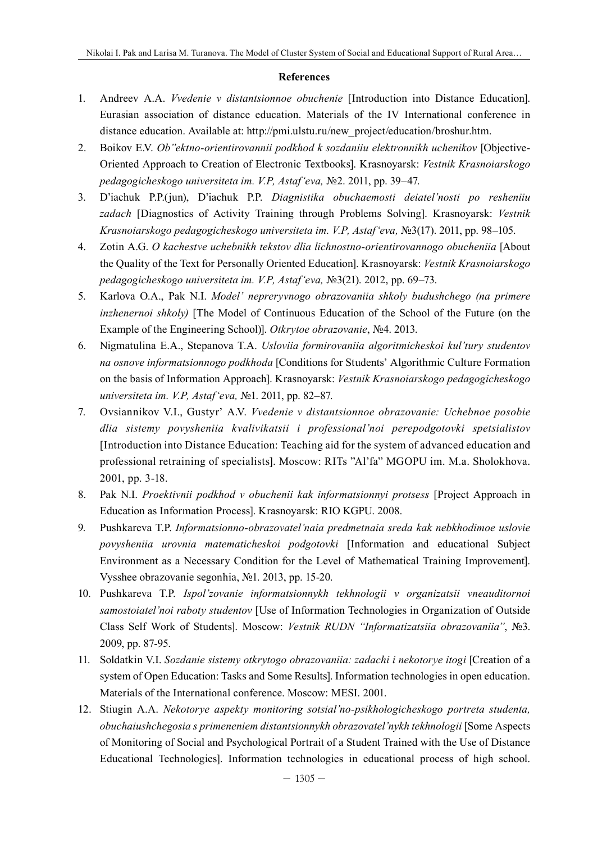#### **References**

- 1. Andreev A.A. *Vvedenie v distantsionnoe obuchenie* [Introduction into Distance Education]. Eurasian association of distance education. Materials of the IV International conference in distance education. Available at: http://pmi.ulstu.ru/new\_project/education/broshur.htm.
- 2. Boikov E.V. *Ob"ektno-orientirovannii podkhod k sozdaniiu elektronnikh uchenikov* [Objective-Oriented Approach to Creation of Electronic Textbooks]. Krasnoyarsk: *Vestnik Krasnoiarskogo pedagogicheskogo universiteta im. V.P, Astaf'eva,* №2. 2011, pp. 39–47.
- 3. D'iachuk P.P.(jun), D'iachuk P.P. *Diagnistika obuchaemosti deiatel'nosti po resheniiu zadach* [Diagnostics of Activity Training through Problems Solving]. Krasnoyarsk: *Vestnik Krasnoiarskogo pedagogicheskogo universiteta im. V.P, Astaf'eva,* №3(17). 2011, pp. 98–105.
- 4. Zotin A.G. *O kachestve uchebnikh tekstov dlia lichnostno-orientirovannogo obucheniia* [About the Quality of the Text for Personally Oriented Education]. Krasnoyarsk: *Vestnik Krasnoiarskogo pedagogicheskogo universiteta im. V.P, Astaf'eva,* №3(21). 2012, pp. 69–73.
- 5. Karlova O.A., Pak N.I. *Model' nepreryvnogo obrazovaniia shkoly budushchego (na primere inzhenernoi shkoly)* [The Model of Continuous Education of the School of the Future (on the Example of the Engineering School)]. *Otkrytoe obrazovanie*, №4. 2013.
- 6. Nigmatulina E.A., Stepanova T.A. *Usloviia formirovaniia algoritmicheskoi kul'tury studentov na osnove informatsionnogo podkhoda* [Conditions for Students' Algorithmic Culture Formation on the basis of Information Approach]. Krasnoyarsk: *Vestnik Krasnoiarskogo pedagogicheskogo universiteta im. V.P, Astaf'eva,* №1. 2011, pp. 82–87.
- 7. Ovsiannikov V.I., Gustyr' A.V. *Vvedenie v distantsionnoe obrazovanie: Uchebnoe posobie dlia sistemy povysheniia kvalivikatsii i professional'noi perepodgotovki spetsialistov* [Introduction into Distance Education: Teaching aid for the system of advanced education and professional retraining of specialists]. Moscow: RITs "Al'fa" MGOPU im. M.a. Sholokhova. 2001, pp. 3-18.
- 8. Pak N.I. *Proektivnii podkhod v obuchenii kak informatsionnyi protsess* [Project Approach in Education as Information Process]. Krasnoyarsk: RIO KGPU. 2008.
- 9. Pushkareva T.P. *Informatsionno-obrazovatel'naia predmetnaia sreda kak nebkhodimoe uslovie povysheniia urovnia matematicheskoi podgotovki* [Information and educational Subject Environment as a Necessary Condition for the Level of Mathematical Training Improvement]. Vysshee obrazovanie segonhia, №1. 2013, pp. 15-20.
- 10. Pushkareva T.P. *Ispol'zovanie informatsionnykh tekhnologii v organizatsii vneauditornoi samostoiatel'noi raboty studentov* [Use of Information Technologies in Organization of Outside Class Self Work of Students]. Moscow: *Vestnik RUDN "Informatizatsiia obrazovaniia"*, №3. 2009, pp. 87-95.
- 11. Soldatkin V.I. *Sozdanie sistemy otkrytogo obrazovaniia: zadachi i nekotorye itogi* [Creation of a system of Open Education: Tasks and Some Results]. Information technologies in open education. Materials of the International conference. Moscow: MESI. 2001.
- 12. Stiugin A.A. *Nekotorye aspekty monitoring sotsial'no-psikhologicheskogo portreta studenta, obuchaiushchegosia s primeneniem distantsionnykh obrazovatel'nykh tekhnologii* [Some Aspects of Monitoring of Social and Psychological Portrait of a Student Trained with the Use of Distance Educational Technologies]. Information technologies in educational process of high school.